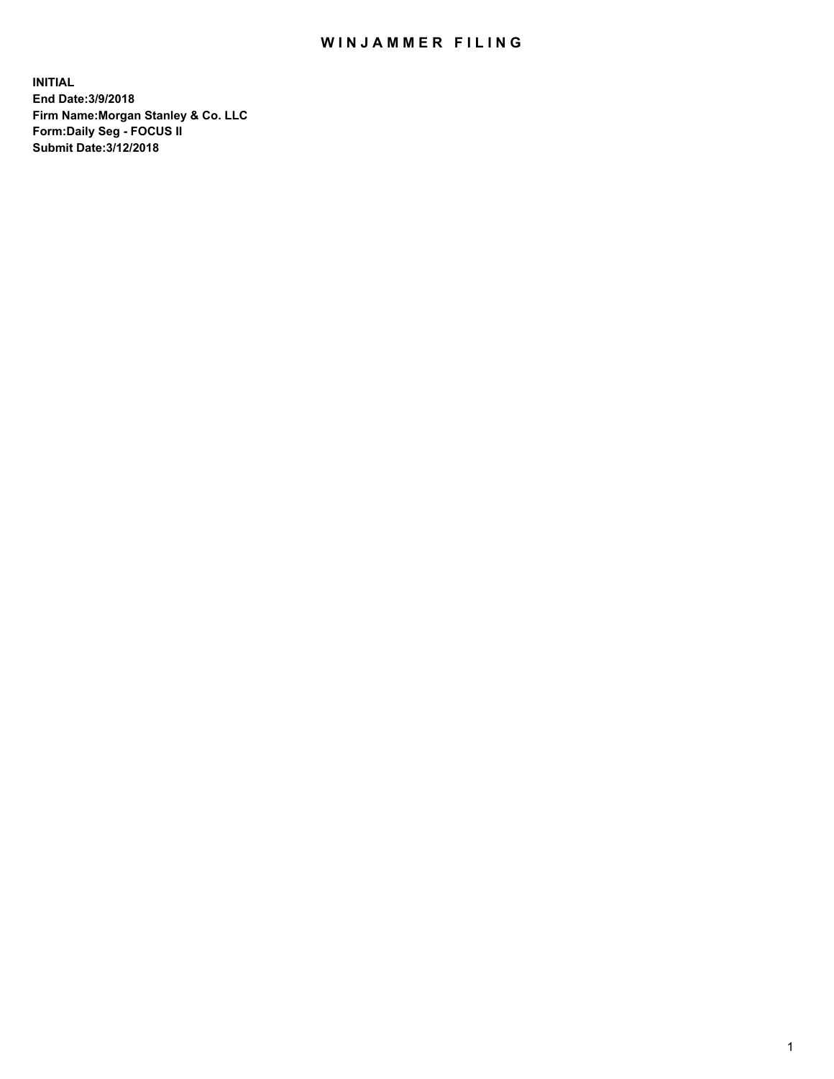## WIN JAMMER FILING

**INITIAL End Date:3/9/2018 Firm Name:Morgan Stanley & Co. LLC Form:Daily Seg - FOCUS II Submit Date:3/12/2018**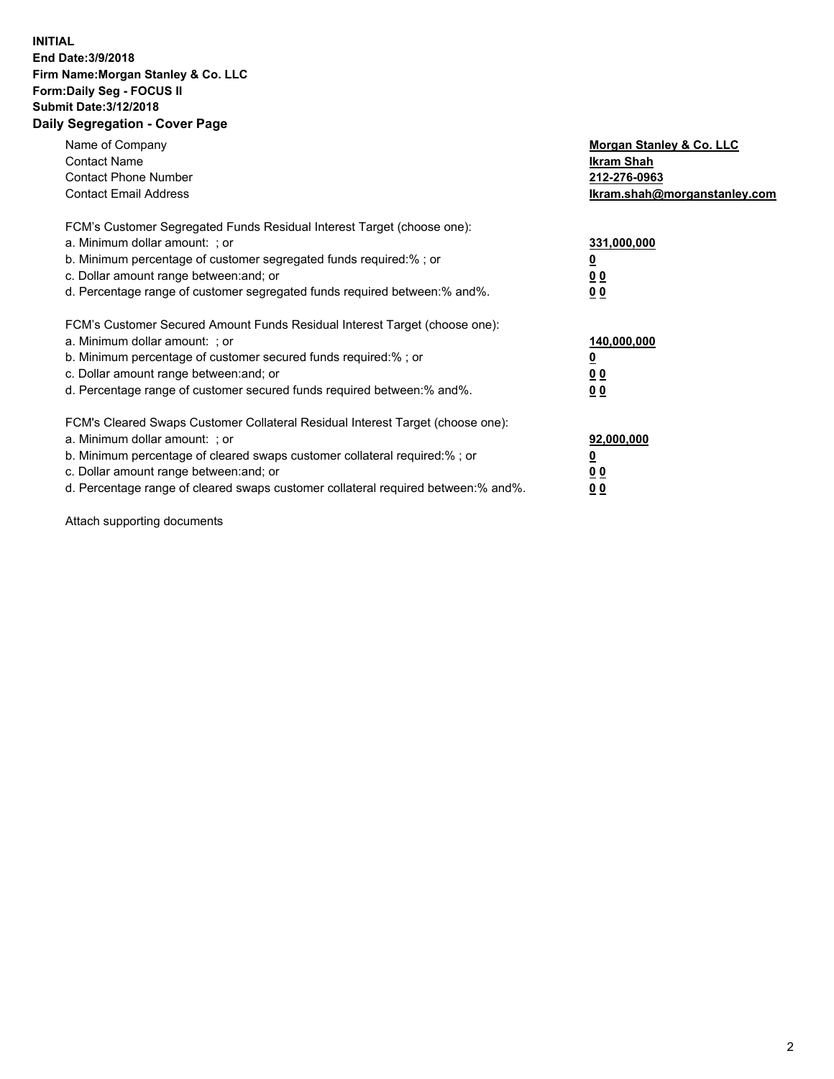## **INITIAL End Date:3/9/2018 Firm Name:Morgan Stanley & Co. LLC Form:Daily Seg - FOCUS II Submit Date:3/12/2018 Daily Segregation - Cover Page**

| Name of Company<br><b>Contact Name</b><br><b>Contact Phone Number</b><br><b>Contact Email Address</b>                                                                                                                                                                                                                          | Morgan Stanley & Co. LLC<br>Ikram Shah<br>212-276-0963<br>lkram.shah@morganstanley.com |
|--------------------------------------------------------------------------------------------------------------------------------------------------------------------------------------------------------------------------------------------------------------------------------------------------------------------------------|----------------------------------------------------------------------------------------|
| FCM's Customer Segregated Funds Residual Interest Target (choose one):<br>a. Minimum dollar amount: ; or<br>b. Minimum percentage of customer segregated funds required:%; or<br>c. Dollar amount range between: and; or<br>d. Percentage range of customer segregated funds required between: % and %.                        | 331,000,000<br>0 <sub>0</sub><br>00                                                    |
| FCM's Customer Secured Amount Funds Residual Interest Target (choose one):<br>a. Minimum dollar amount: ; or<br>b. Minimum percentage of customer secured funds required:%; or<br>c. Dollar amount range between: and; or<br>d. Percentage range of customer secured funds required between:% and%.                            | 140,000,000<br>0 <sub>0</sub><br>0 <sub>0</sub>                                        |
| FCM's Cleared Swaps Customer Collateral Residual Interest Target (choose one):<br>a. Minimum dollar amount: ; or<br>b. Minimum percentage of cleared swaps customer collateral required:% ; or<br>c. Dollar amount range between: and; or<br>d. Percentage range of cleared swaps customer collateral required between:% and%. | 92,000,000<br>0 <sub>0</sub><br>0 <sub>0</sub>                                         |

Attach supporting documents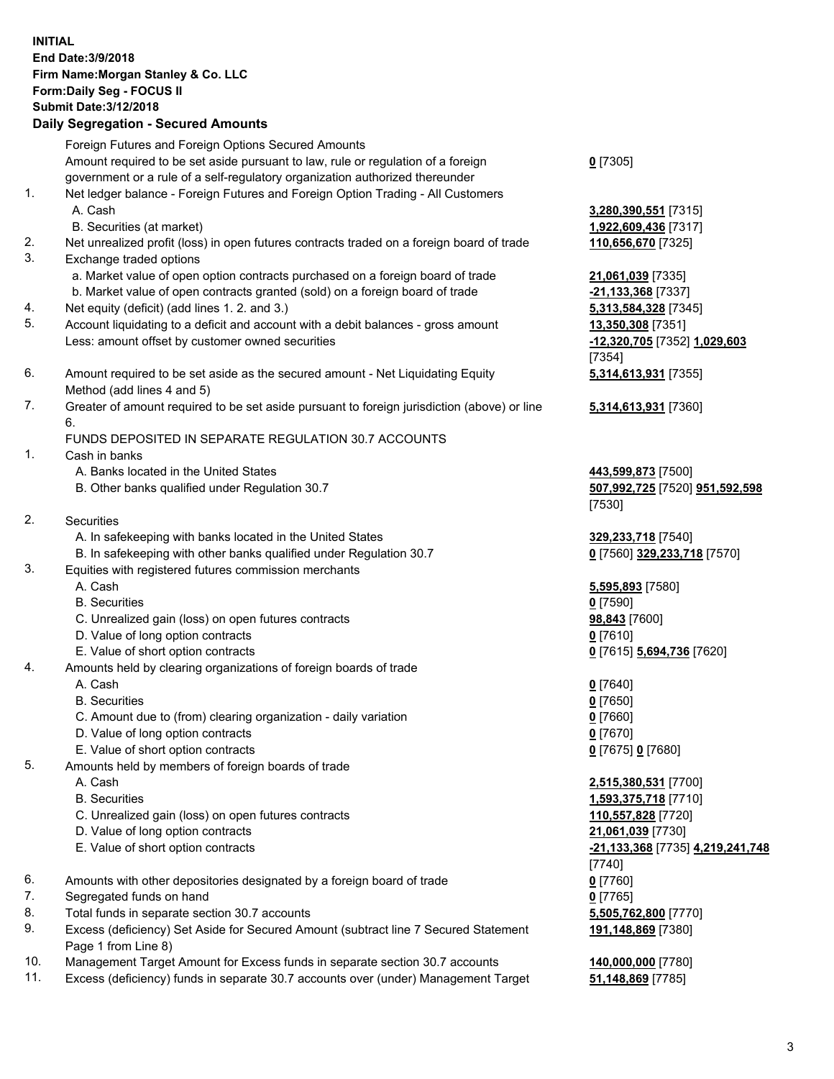## **INITIAL End Date:3/9/2018 Firm Name:Morgan Stanley & Co. LLC Form:Daily Seg - FOCUS II Submit Date:3/12/2018 Daily Segregation - Secured Amounts**

Foreign Futures and Foreign Options Secured Amounts Amount required to be set aside pursuant to law, rule or regulation of a foreign government or a rule of a self-regulatory organization authorized thereunder

- 1. Net ledger balance Foreign Futures and Foreign Option Trading All Customers A. Cash **3,280,390,551** [7315]
	- B. Securities (at market) **1,922,609,436** [7317]
- 2. Net unrealized profit (loss) in open futures contracts traded on a foreign board of trade **110,656,670** [7325]
- 3. Exchange traded options
	- a. Market value of open option contracts purchased on a foreign board of trade **21,061,039** [7335]
	- b. Market value of open contracts granted (sold) on a foreign board of trade **-21,133,368** [7337]
- 4. Net equity (deficit) (add lines 1. 2. and 3.) **5,313,584,328** [7345]
- 5. Account liquidating to a deficit and account with a debit balances gross amount **13,350,308** [7351] Less: amount offset by customer owned securities **-12,320,705** [7352] **1,029,603**
- 6. Amount required to be set aside as the secured amount Net Liquidating Equity Method (add lines 4 and 5)
- 7. Greater of amount required to be set aside pursuant to foreign jurisdiction (above) or line 6.

## FUNDS DEPOSITED IN SEPARATE REGULATION 30.7 ACCOUNTS

- 1. Cash in banks
	- A. Banks located in the United States **443,599,873** [7500]
	- B. Other banks qualified under Regulation 30.7 **507,992,725** [7520] **951,592,598**
- 2. Securities
	- A. In safekeeping with banks located in the United States **329,233,718** [7540]
	- B. In safekeeping with other banks qualified under Regulation 30.7 **0** [7560] **329,233,718** [7570]
- 3. Equities with registered futures commission merchants
	-
	-
	- C. Unrealized gain (loss) on open futures contracts **98,843** [7600]
	- D. Value of long option contracts **0** [7610]
- E. Value of short option contracts **0** [7615] **5,694,736** [7620]
- 4. Amounts held by clearing organizations of foreign boards of trade
	-
	-
	- C. Amount due to (from) clearing organization daily variation **0** [7660]
	- D. Value of long option contracts **0** [7670]
	- E. Value of short option contracts **0** [7675] **0** [7680]
- 5. Amounts held by members of foreign boards of trade
	-
	-
	- C. Unrealized gain (loss) on open futures contracts **110,557,828** [7720]
	- D. Value of long option contracts **21,061,039** [7730]
	- E. Value of short option contracts **-21,133,368** [7735] **4,219,241,748**
- 6. Amounts with other depositories designated by a foreign board of trade **0** [7760]
- 7. Segregated funds on hand **0** [7765]
- 8. Total funds in separate section 30.7 accounts **5,505,762,800** [7770]
- 9. Excess (deficiency) Set Aside for Secured Amount (subtract line 7 Secured Statement Page 1 from Line 8)
- 10. Management Target Amount for Excess funds in separate section 30.7 accounts **140,000,000** [7780]
- 11. Excess (deficiency) funds in separate 30.7 accounts over (under) Management Target **51,148,869** [7785]

**0** [7305]

[7354] **5,314,613,931** [7355]

**5,314,613,931** [7360]

[7530]

 A. Cash **5,595,893** [7580] B. Securities **0** [7590]

 A. Cash **0** [7640] B. Securities **0** [7650]

 A. Cash **2,515,380,531** [7700] B. Securities **1,593,375,718** [7710] [7740] **191,148,869** [7380]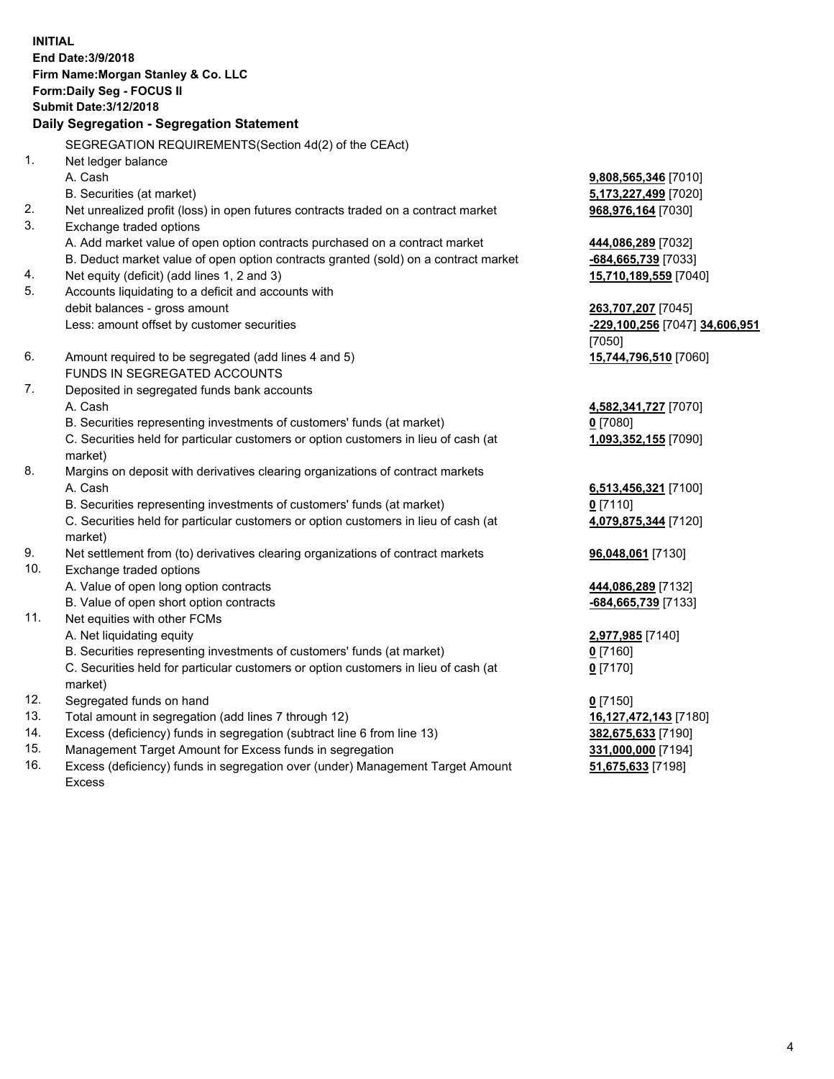**INITIAL End Date:3/9/2018 Firm Name:Morgan Stanley & Co. LLC Form:Daily Seg - FOCUS II Submit Date:3/12/2018 Daily Segregation - Segregation Statement** SEGREGATION REQUIREMENTS(Section 4d(2) of the CEAct) 1. Net ledger balance A. Cash **9,808,565,346** [7010] B. Securities (at market) **5,173,227,499** [7020] 2. Net unrealized profit (loss) in open futures contracts traded on a contract market **968,976,164** [7030] 3. Exchange traded options A. Add market value of open option contracts purchased on a contract market **444,086,289** [7032] B. Deduct market value of open option contracts granted (sold) on a contract market **-684,665,739** [7033] 4. Net equity (deficit) (add lines 1, 2 and 3) **15,710,189,559** [7040] 5. Accounts liquidating to a deficit and accounts with debit balances - gross amount **263,707,207** [7045] Less: amount offset by customer securities **-229,100,256** [7047] **34,606,951** [7050] 6. Amount required to be segregated (add lines 4 and 5) **15,744,796,510** [7060] FUNDS IN SEGREGATED ACCOUNTS 7. Deposited in segregated funds bank accounts A. Cash **4,582,341,727** [7070] B. Securities representing investments of customers' funds (at market) **0** [7080] C. Securities held for particular customers or option customers in lieu of cash (at market) **1,093,352,155** [7090] 8. Margins on deposit with derivatives clearing organizations of contract markets A. Cash **6,513,456,321** [7100] B. Securities representing investments of customers' funds (at market) **0** [7110] C. Securities held for particular customers or option customers in lieu of cash (at market) **4,079,875,344** [7120] 9. Net settlement from (to) derivatives clearing organizations of contract markets **96,048,061** [7130] 10. Exchange traded options A. Value of open long option contracts **444,086,289** [7132] B. Value of open short option contracts **-684,665,739** [7133] 11. Net equities with other FCMs A. Net liquidating equity **2,977,985** [7140] B. Securities representing investments of customers' funds (at market) **0** [7160] C. Securities held for particular customers or option customers in lieu of cash (at market) **0** [7170] 12. Segregated funds on hand **0** [7150] 13. Total amount in segregation (add lines 7 through 12) **16,127,472,143** [7180] 14. Excess (deficiency) funds in segregation (subtract line 6 from line 13) **382,675,633** [7190]

- 15. Management Target Amount for Excess funds in segregation **331,000,000** [7194]
- 16. Excess (deficiency) funds in segregation over (under) Management Target Amount Excess

**51,675,633** [7198]